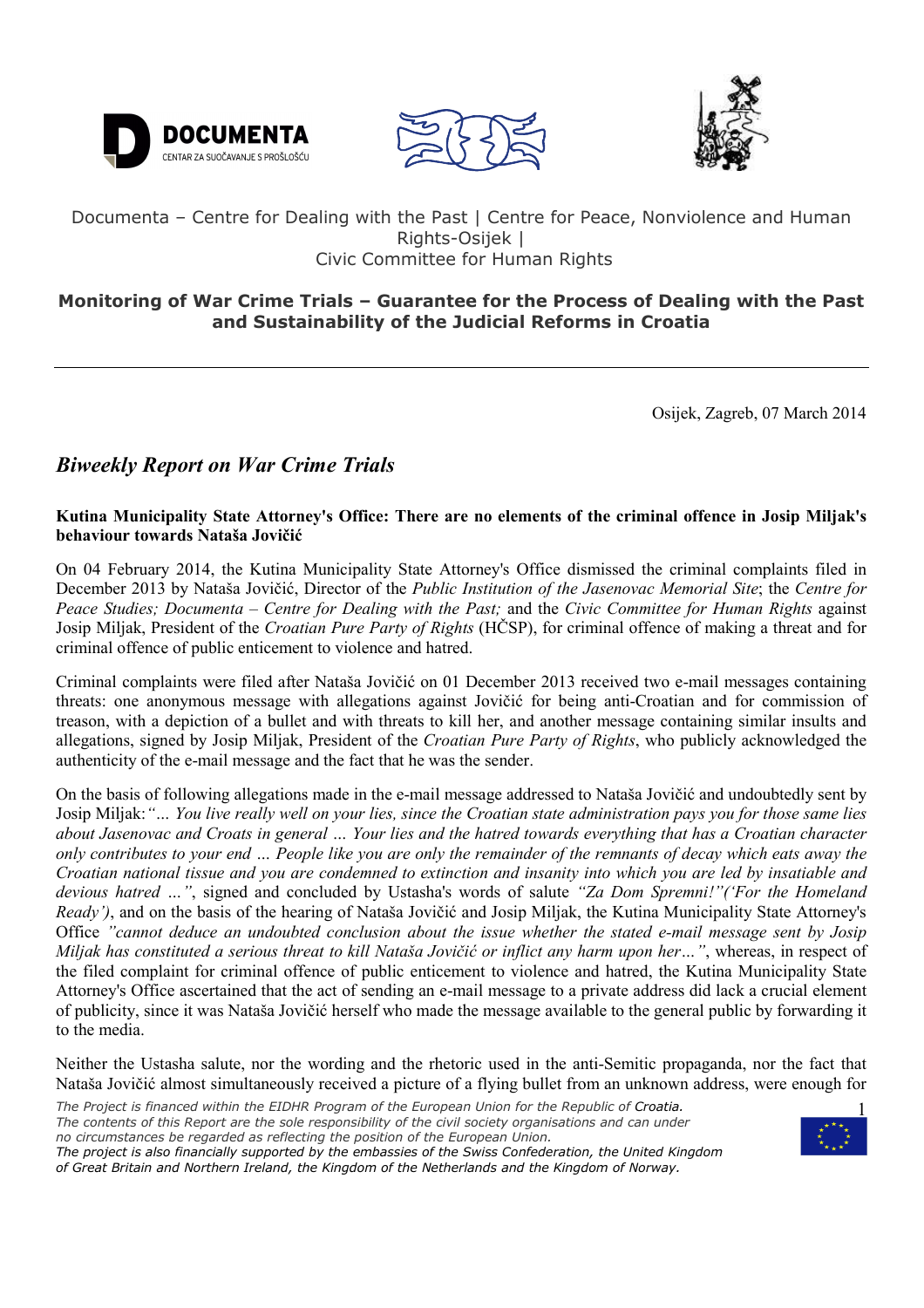





## Documenta – Centre for Dealing with the Past | Centre for Peace, Nonviolence and Human Rights-Osijek | Civic Committee for Human Rights

# **Monitoring of War Crime Trials – Guarantee for the Process of Dealing with the Past and Sustainability of the Judicial Reforms in Croatia**

Osijek, Zagreb, 07 March 2014

# *Biweekly Report on War Crime Trials*

**Kutina Municipality State Attorney's Office: There are no elements of the criminal offence in Josip Miljak's behaviour towards Nataša Jovičić** 

On 04 February 2014, the Kutina Municipality State Attorney's Office dismissed the criminal complaints filed in December 2013 by Nataša Jovičić, Director of the *Public Institution of the Jasenovac Memorial Site*; the *Centre for Peace Studies; Documenta* – *Centre for Dealing with the Past;* and the *Civic Committee for Human Rights* against Josip Miljak, President of the *Croatian Pure Party of Rights* (HČSP), for criminal offence of making a threat and for criminal offence of public enticement to violence and hatred.

Criminal complaints were filed after Nataša Jovičić on 01 December 2013 received two e-mail messages containing threats: one anonymous message with allegations against Jovičić for being anti-Croatian and for commission of treason, with a depiction of a bullet and with threats to kill her, and another message containing similar insults and allegations, signed by Josip Miljak, President of the *Croatian Pure Party of Rights*, who publicly acknowledged the authenticity of the e-mail message and the fact that he was the sender.

On the basis of following allegations made in the e-mail message addressed to Nataša Jovičić and undoubtedly sent by Josip Miljak:*"… You live really well on your lies, since the Croatian state administration pays you for those same lies about Jasenovac and Croats in general … Your lies and the hatred towards everything that has a Croatian character only contributes to your end … People like you are only the remainder of the remnants of decay which eats away the Croatian national tissue and you are condemned to extinction and insanity into which you are led by insatiable and devious hatred …"*, signed and concluded by Ustasha's words of salute *"Za Dom Spremni!"('For the Homeland Ready')*, and on the basis of the hearing of Nataša Jovičić and Josip Miljak, the Kutina Municipality State Attorney's Office *"cannot deduce an undoubted conclusion about the issue whether the stated e-mail message sent by Josip Miljak has constituted a serious threat to kill Nataša Jovičić or inflict any harm upon her…"*, whereas, in respect of the filed complaint for criminal offence of public enticement to violence and hatred, the Kutina Municipality State Attorney's Office ascertained that the act of sending an e-mail message to a private address did lack a crucial element of publicity, since it was Nataša Jovičić herself who made the message available to the general public by forwarding it to the media.

Neither the Ustasha salute, nor the wording and the rhetoric used in the anti-Semitic propaganda, nor the fact that Nataša Jovičić almost simultaneously received a picture of a flying bullet from an unknown address, were enough for

- *The Project is financed within the EIDHR Program of the European Union for the Republic of Croatia. The contents of this Report are the sole responsibility of the civil society organisations and can under no circumstances be regarded as reflecting the position of the European Union. The project is also financially supported by the embassies of the Swiss Confederation, the United Kingdom*
- *of Great Britain and Northern Ireland, the Kingdom of the Netherlands and the Kingdom of Norway.*

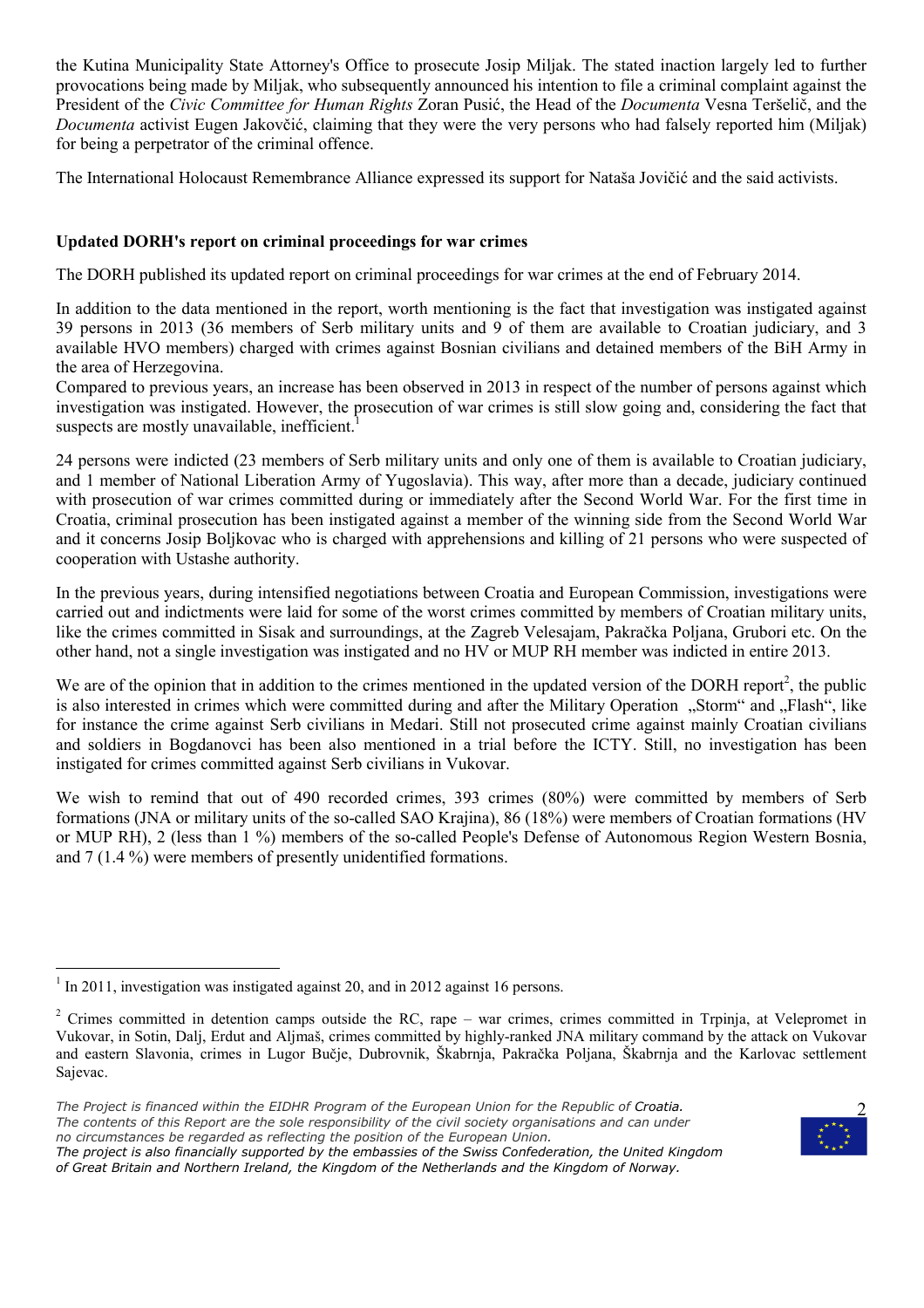the Kutina Municipality State Attorney's Office to prosecute Josip Miljak. The stated inaction largely led to further provocations being made by Miljak, who subsequently announced his intention to file a criminal complaint against the President of the *Civic Committee for Human Rights* Zoran Pusić, the Head of the *Documenta* Vesna Teršelič, and the *Documenta* activist Eugen Jakovčić, claiming that they were the very persons who had falsely reported him (Miljak) for being a perpetrator of the criminal offence.

The International Holocaust Remembrance Alliance expressed its support for Nataša Jovičić and the said activists.

## **Updated DORH's report on criminal proceedings for war crimes**

The DORH published its updated report on criminal proceedings for war crimes at the end of February 2014.

In addition to the data mentioned in the report, worth mentioning is the fact that investigation was instigated against 39 persons in 2013 (36 members of Serb military units and 9 of them are available to Croatian judiciary, and 3 available HVO members) charged with crimes against Bosnian civilians and detained members of the BiH Army in the area of Herzegovina.

Compared to previous years, an increase has been observed in 2013 in respect of the number of persons against which investigation was instigated. However, the prosecution of war crimes is still slow going and, considering the fact that suspects are mostly unavailable, inefficient.

24 persons were indicted (23 members of Serb military units and only one of them is available to Croatian judiciary, and 1 member of National Liberation Army of Yugoslavia). This way, after more than a decade, judiciary continued with prosecution of war crimes committed during or immediately after the Second World War. For the first time in Croatia, criminal prosecution has been instigated against a member of the winning side from the Second World War and it concerns Josip Boljkovac who is charged with apprehensions and killing of 21 persons who were suspected of cooperation with Ustashe authority.

In the previous years, during intensified negotiations between Croatia and European Commission, investigations were carried out and indictments were laid for some of the worst crimes committed by members of Croatian military units, like the crimes committed in Sisak and surroundings, at the Zagreb Velesajam, Pakračka Poljana, Grubori etc. On the other hand, not a single investigation was instigated and no HV or MUP RH member was indicted in entire 2013.

We are of the opinion that in addition to the crimes mentioned in the updated version of the DORH report<sup>2</sup>, the public is also interested in crimes which were committed during and after the Military Operation "Storm" and "Flash", like for instance the crime against Serb civilians in Medari. Still not prosecuted crime against mainly Croatian civilians and soldiers in Bogdanovci has been also mentioned in a trial before the ICTY. Still, no investigation has been instigated for crimes committed against Serb civilians in Vukovar.

We wish to remind that out of 490 recorded crimes, 393 crimes (80%) were committed by members of Serb formations (JNA or military units of the so-called SAO Krajina), 86 (18%) were members of Croatian formations (HV or MUP RH), 2 (less than 1 %) members of the so-called People's Defense of Autonomous Region Western Bosnia, and 7 (1.4 %) were members of presently unidentified formations.

*The project is also financially supported by the embassies of the Swiss Confederation, the United Kingdom of Great Britain and Northern Ireland, the Kingdom of the Netherlands and the Kingdom of Norway.* 



<sup>&</sup>lt;sup>1</sup> In 2011, investigation was instigated against 20, and in 2012 against 16 persons.

<sup>&</sup>lt;sup>2</sup> Crimes committed in detention camps outside the RC, rape – war crimes, crimes committed in Trpinja, at Velepromet in Vukovar, in Sotin, Dalj, Erdut and Aljmaš, crimes committed by highly-ranked JNA military command by the attack on Vukovar and eastern Slavonia, crimes in Lugor Bučje, Dubrovnik, Škabrnja, Pakračka Poljana, Škabrnja and the Karlovac settlement Sajevac.

*The Project is financed within the EIDHR Program of the European Union for the Republic of Croatia. The contents of this Report are the sole responsibility of the civil society organisations and can under no circumstances be regarded as reflecting the position of the European Union.*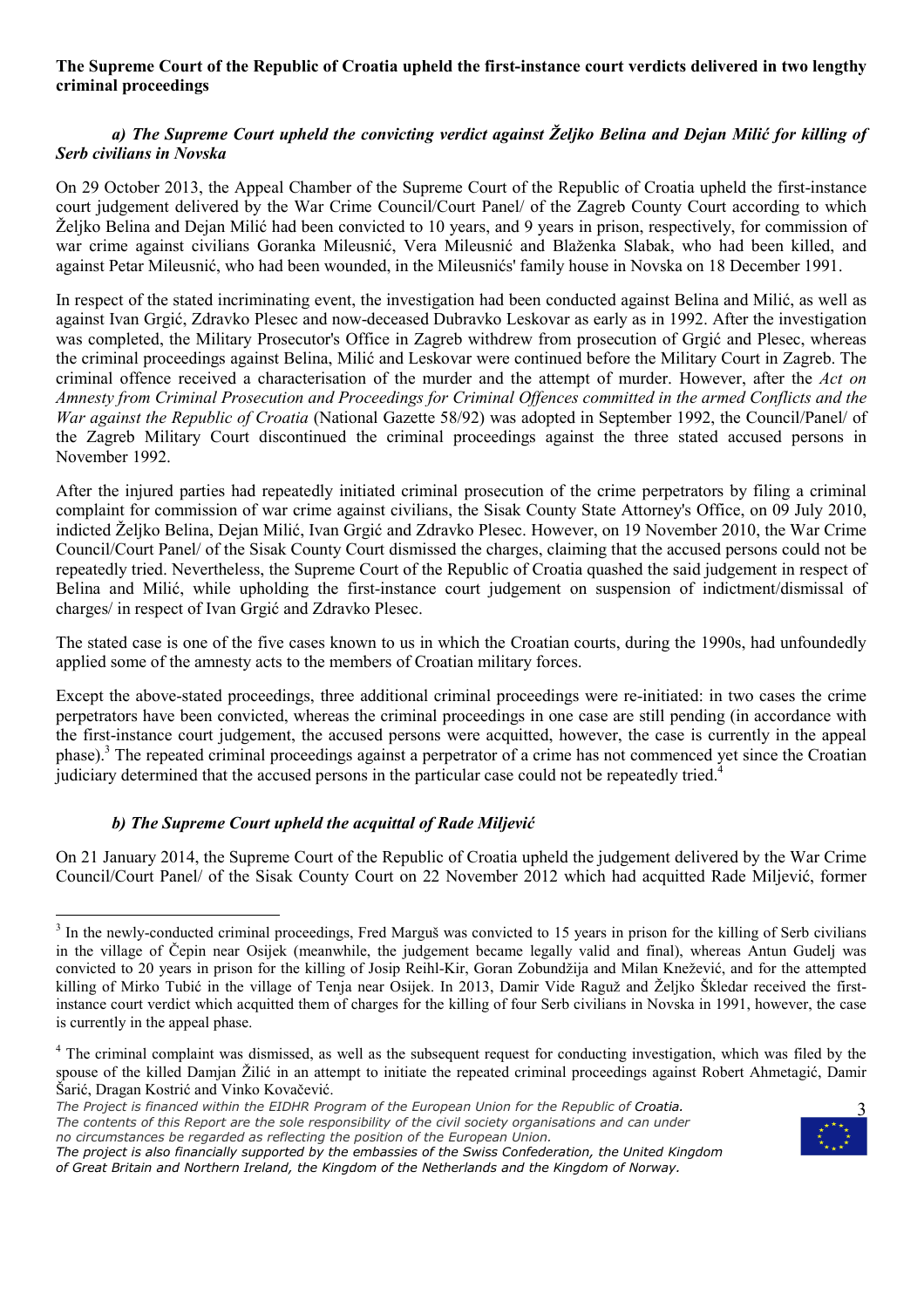#### **The Supreme Court of the Republic of Croatia upheld the first-instance court verdicts delivered in two lengthy criminal proceedings**

## *a) The Supreme Court upheld the convicting verdict against Željko Belina and Dejan Milić for killing of Serb civilians in Novska*

On 29 October 2013, the Appeal Chamber of the Supreme Court of the Republic of Croatia upheld the first-instance court judgement delivered by the War Crime Council/Court Panel/ of the Zagreb County Court according to which Željko Belina and Dejan Milić had been convicted to 10 years, and 9 years in prison, respectively, for commission of war crime against civilians Goranka Mileusnić, Vera Mileusnić and Blaženka Slabak, who had been killed, and against Petar Mileusnić, who had been wounded, in the Mileusnićs' family house in Novska on 18 December 1991.

In respect of the stated incriminating event, the investigation had been conducted against Belina and Milić, as well as against Ivan Grgić, Zdravko Plesec and now-deceased Dubravko Leskovar as early as in 1992. After the investigation was completed, the Military Prosecutor's Office in Zagreb withdrew from prosecution of Grgić and Plesec, whereas the criminal proceedings against Belina, Milić and Leskovar were continued before the Military Court in Zagreb. The criminal offence received a characterisation of the murder and the attempt of murder. However, after the *Act on Amnesty from Criminal Prosecution and Proceedings for Criminal Offences committed in the armed Conflicts and the War against the Republic of Croatia* (National Gazette 58/92) was adopted in September 1992, the Council/Panel/ of the Zagreb Military Court discontinued the criminal proceedings against the three stated accused persons in November 1992.

After the injured parties had repeatedly initiated criminal prosecution of the crime perpetrators by filing a criminal complaint for commission of war crime against civilians, the Sisak County State Attorney's Office, on 09 July 2010, indicted Željko Belina, Dejan Milić, Ivan Grgić and Zdravko Plesec. However, on 19 November 2010, the War Crime Council/Court Panel/ of the Sisak County Court dismissed the charges, claiming that the accused persons could not be repeatedly tried. Nevertheless, the Supreme Court of the Republic of Croatia quashed the said judgement in respect of Belina and Milić, while upholding the first-instance court judgement on suspension of indictment/dismissal of charges/ in respect of Ivan Grgić and Zdravko Plesec.

The stated case is one of the five cases known to us in which the Croatian courts, during the 1990s, had unfoundedly applied some of the amnesty acts to the members of Croatian military forces.

Except the above-stated proceedings, three additional criminal proceedings were re-initiated: in two cases the crime perpetrators have been convicted, whereas the criminal proceedings in one case are still pending (in accordance with the first-instance court judgement, the accused persons were acquitted, however, the case is currently in the appeal phase).<sup>3</sup> The repeated criminal proceedings against a perpetrator of a crime has not commenced yet since the Croatian judiciary determined that the accused persons in the particular case could not be repeatedly tried.<sup>2</sup>

## *b) The Supreme Court upheld the acquittal of Rade Miljević*

On 21 January 2014, the Supreme Court of the Republic of Croatia upheld the judgement delivered by the War Crime Council/Court Panel/ of the Sisak County Court on 22 November 2012 which had acquitted Rade Miljević, former

*The project is also financially supported by the embassies of the Swiss Confederation, the United Kingdom of Great Britain and Northern Ireland, the Kingdom of the Netherlands and the Kingdom of Norway.* 



<sup>&</sup>lt;sup>3</sup> In the newly-conducted criminal proceedings, Fred Marguš was convicted to 15 years in prison for the killing of Serb civilians in the village of Čepin near Osijek (meanwhile, the judgement became legally valid and final), whereas Antun Gudelj was convicted to 20 years in prison for the killing of Josip Reihl-Kir, Goran Zobundžija and Milan Knežević, and for the attempted killing of Mirko Tubić in the village of Tenja near Osijek. In 2013, Damir Vide Raguž and Željko Škledar received the firstinstance court verdict which acquitted them of charges for the killing of four Serb civilians in Novska in 1991, however, the case is currently in the appeal phase.

<sup>&</sup>lt;sup>4</sup> The criminal complaint was dismissed, as well as the subsequent request for conducting investigation, which was filed by the spouse of the killed Damjan Žilić in an attempt to initiate the repeated criminal proceedings against Robert Ahmetagić, Damir Šarić, Dragan Kostrić and Vinko Kovačević.

*The Project is financed within the EIDHR Program of the European Union for the Republic of Croatia. The contents of this Report are the sole responsibility of the civil society organisations and can under no circumstances be regarded as reflecting the position of the European Union.*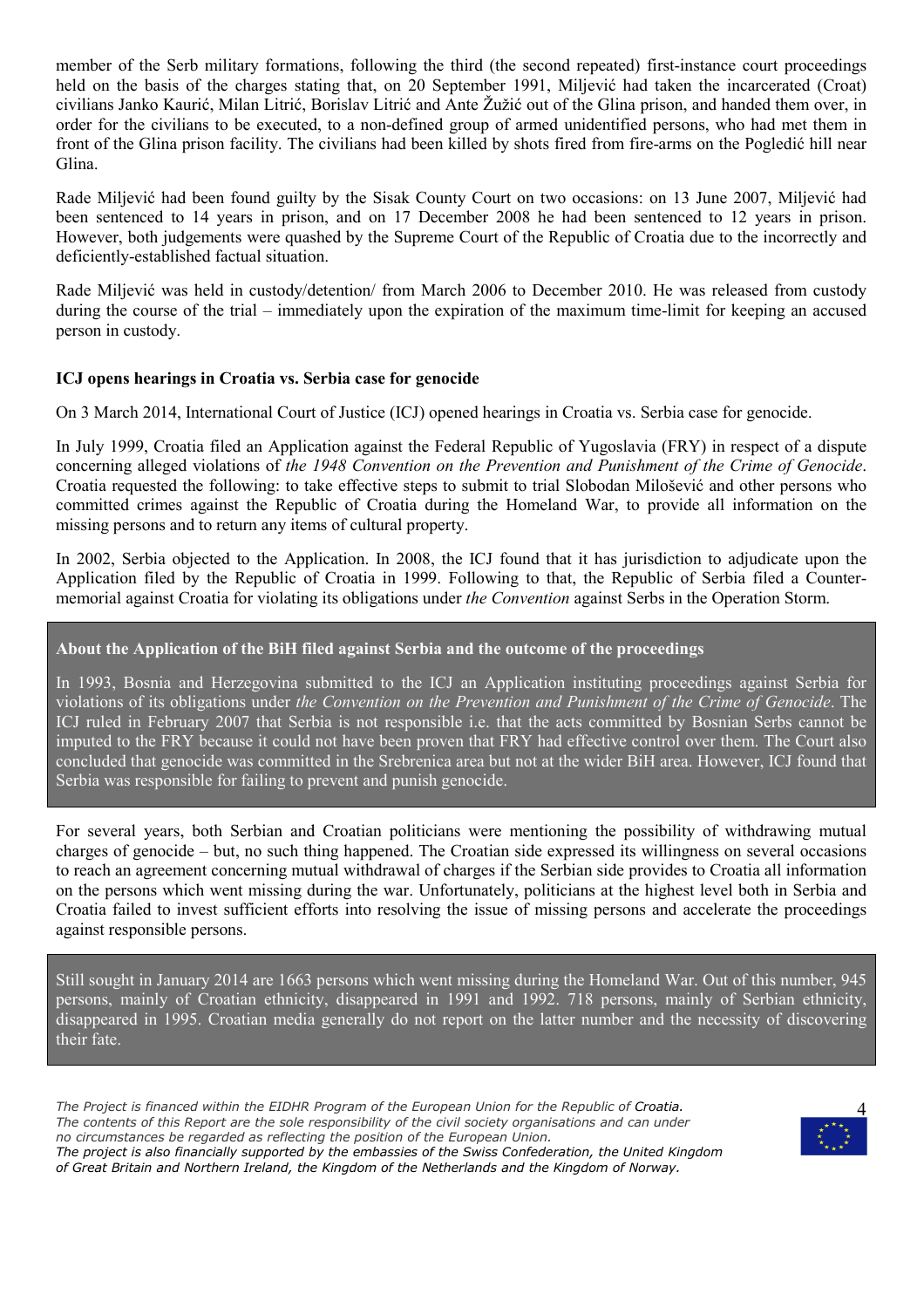member of the Serb military formations, following the third (the second repeated) first-instance court proceedings held on the basis of the charges stating that, on 20 September 1991, Miljević had taken the incarcerated (Croat) civilians Janko Kaurić, Milan Litrić, Borislav Litrić and Ante Žužić out of the Glina prison, and handed them over, in order for the civilians to be executed, to a non-defined group of armed unidentified persons, who had met them in front of the Glina prison facility. The civilians had been killed by shots fired from fire-arms on the Pogledić hill near Glina.

Rade Miljević had been found guilty by the Sisak County Court on two occasions: on 13 June 2007, Miljević had been sentenced to 14 years in prison, and on 17 December 2008 he had been sentenced to 12 years in prison. However, both judgements were quashed by the Supreme Court of the Republic of Croatia due to the incorrectly and deficiently-established factual situation.

Rade Miljević was held in custody/detention/ from March 2006 to December 2010. He was released from custody during the course of the trial – immediately upon the expiration of the maximum time-limit for keeping an accused person in custody.

#### **ICJ opens hearings in Croatia vs. Serbia case for genocide**

On 3 March 2014, International Court of Justice (ICJ) opened hearings in Croatia vs. Serbia case for genocide.

In July 1999, Croatia filed an Application against the Federal Republic of Yugoslavia (FRY) in respect of a dispute concerning alleged violations of *the 1948 Convention on the Prevention and Punishment of the Crime of Genocide*. Croatia requested the following: to take effective steps to submit to trial Slobodan Milošević and other persons who committed crimes against the Republic of Croatia during the Homeland War, to provide all information on the missing persons and to return any items of cultural property.

In 2002, Serbia objected to the Application. In 2008, the ICJ found that it has jurisdiction to adjudicate upon the Application filed by the Republic of Croatia in 1999. Following to that, the Republic of Serbia filed a Countermemorial against Croatia for violating its obligations under *the Convention* against Serbs in the Operation Storm.

#### **About the Application of the BiH filed against Serbia and the outcome of the proceedings**

In 1993, Bosnia and Herzegovina submitted to the ICJ an Application instituting proceedings against Serbia for violations of its obligations under *the Convention on the Prevention and Punishment of the Crime of Genocide*. The ICJ ruled in February 2007 that Serbia is not responsible i.e. that the acts committed by Bosnian Serbs cannot be imputed to the FRY because it could not have been proven that FRY had effective control over them. The Court also concluded that genocide was committed in the Srebrenica area but not at the wider BiH area. However, ICJ found that Serbia was responsible for failing to prevent and punish genocide.

For several years, both Serbian and Croatian politicians were mentioning the possibility of withdrawing mutual charges of genocide – but, no such thing happened. The Croatian side expressed its willingness on several occasions to reach an agreement concerning mutual withdrawal of charges if the Serbian side provides to Croatia all information on the persons which went missing during the war. Unfortunately, politicians at the highest level both in Serbia and Croatia failed to invest sufficient efforts into resolving the issue of missing persons and accelerate the proceedings against responsible persons.

Still sought in January 2014 are 1663 persons which went missing during the Homeland War. Out of this number, 945 persons, mainly of Croatian ethnicity, disappeared in 1991 and 1992. 718 persons, mainly of Serbian ethnicity, disappeared in 1995. Croatian media generally do not report on the latter number and the necessity of discovering their fate.

*The Project is financed within the EIDHR Program of the European Union for the Republic of Croatia. The contents of this Report are the sole responsibility of the civil society organisations and can under no circumstances be regarded as reflecting the position of the European Union. The project is also financially supported by the embassies of the Swiss Confederation, the United Kingdom of Great Britain and Northern Ireland, the Kingdom of the Netherlands and the Kingdom of Norway.*